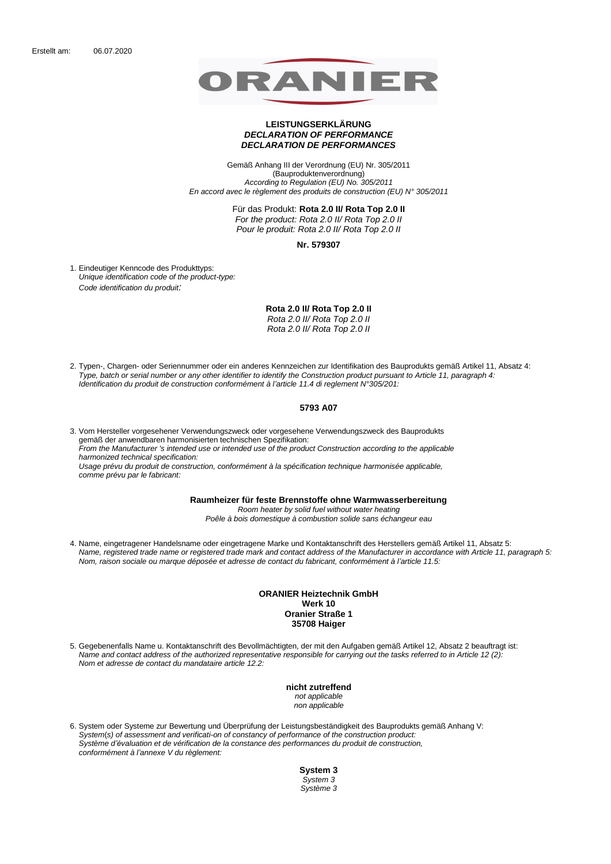

### **LEISTUNGSERKLÄRUNG** *DECLARATION OF PERFORMANCE DECLARATION DE PERFORMANCES*

Gemäß Anhang III der Verordnung (EU) Nr. 305/2011 (Bauproduktenverordnung) *According to Regulation (EU) No. 305/2011 En accord avec le règlement des produits de construction (EU) N° 305/2011*

> Für das Produkt: **Rota 2.0 II/ Rota Top 2.0 II** *For the product: Rota 2.0 II/ Rota Top 2.0 II Pour le produit: Rota 2.0 II/ Rota Top 2.0 II*

> > **Nr. 579307**

Eindeutiger Kenncode des Produkttyps: 1. *Unique identification code of the product-type: Code identification du produit:*

# **Rota 2.0 II/ Rota Top 2.0 II**

*Rota 2.0 II/ Rota Top 2.0 II Rota 2.0 II/ Rota Top 2.0 II*

2. Typen-, Chargen- oder Seriennummer oder ein anderes Kennzeichen zur Identifikation des Bauprodukts gemäß Artikel 11, Absatz 4: *Type, batch or serial number or any other identifier to identify the Construction product pursuant to Article 11, paragraph 4: Identification du produit de construction conformément à l'article 11.4 di reglement N°305/201:*

#### **5793 A07**

3. Vom Hersteller vorgesehener Verwendungszweck oder vorgesehene Verwendungszweck des Bauprodukts gemäß der anwendbaren harmonisierten technischen Spezifikation: *From the Manufacturer 's intended use or intended use of the product Construction according to the applicable harmonized technical specification: Usage prévu du produit de construction, conformément à la spécification technique harmonisée applicable, comme prévu par le fabricant:*

**Raumheizer für feste Brennstoffe ohne Warmwasserbereitung**

*Room heater by solid fuel without water heating Poêle à bois domestique à combustion solide sans échangeur eau*

4. Name, eingetragener Handelsname oder eingetragene Marke und Kontaktanschrift des Herstellers gemäß Artikel 11, Absatz 5: *Name, registered trade name or registered trade mark and contact address of the Manufacturer in accordance with Article 11, paragraph 5: Nom, raison sociale ou marque déposée et adresse de contact du fabricant, conformément à l'article 11.5:*

# **ORANIER Heiztechnik GmbH Werk 10 Oranier Straße 1 35708 Haiger**

5. Gegebenenfalls Name u. Kontaktanschrift des Bevollmächtigten, der mit den Aufgaben gemäß Artikel 12, Absatz 2 beauftragt ist: *Name and contact address of the authorized representative responsible for carrying out the tasks referred to in Article 12 (2): Nom et adresse de contact du mandataire article 12.2:*

> **nicht zutreffend** *not applicable non applicable*

6. System oder Systeme zur Bewertung und Überprüfung der Leistungsbeständigkeit des Bauprodukts gemäß Anhang V: *System*(*s) of assessment and verificati-on of constancy of performance of the construction product: Système d'évaluation et de vérification de la constance des performances du produit de construction, conformément à l'annexe V du règlement:*

> **System 3** *System 3 Système 3*